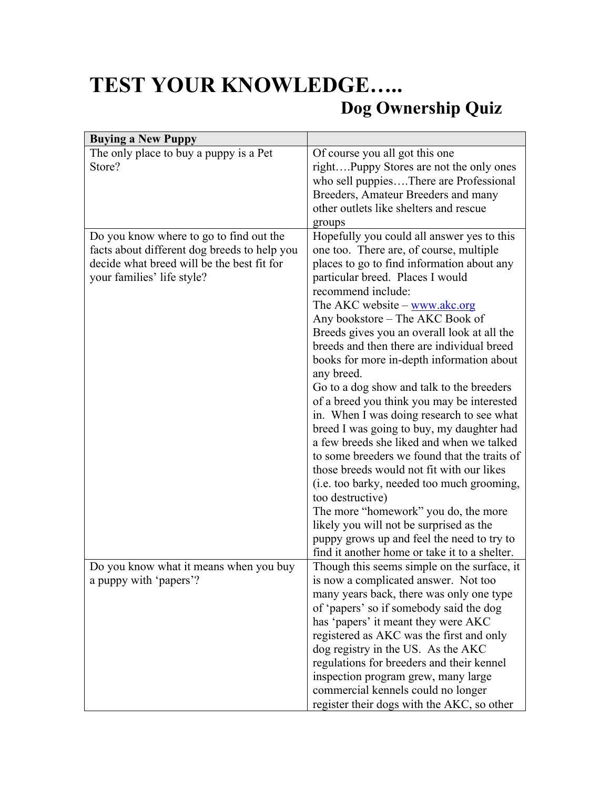## **TEST YOUR KNOWLEDGE….. Dog Ownership Quiz**

| <b>Buying a New Puppy</b>                    |                                               |
|----------------------------------------------|-----------------------------------------------|
| The only place to buy a puppy is a Pet       | Of course you all got this one                |
| Store?                                       | rightPuppy Stores are not the only ones       |
|                                              | who sell puppiesThere are Professional        |
|                                              | Breeders, Amateur Breeders and many           |
|                                              | other outlets like shelters and rescue        |
|                                              |                                               |
|                                              | groups                                        |
| Do you know where to go to find out the      | Hopefully you could all answer yes to this    |
| facts about different dog breeds to help you | one too. There are, of course, multiple       |
| decide what breed will be the best fit for   | places to go to find information about any    |
| your families' life style?                   | particular breed. Places I would              |
|                                              | recommend include:                            |
|                                              | The AKC website - www.akc.org                 |
|                                              | Any bookstore – The AKC Book of               |
|                                              | Breeds gives you an overall look at all the   |
|                                              | breeds and then there are individual breed    |
|                                              | books for more in-depth information about     |
|                                              | any breed.                                    |
|                                              |                                               |
|                                              | Go to a dog show and talk to the breeders     |
|                                              | of a breed you think you may be interested    |
|                                              | in. When I was doing research to see what     |
|                                              | breed I was going to buy, my daughter had     |
|                                              | a few breeds she liked and when we talked     |
|                                              | to some breeders we found that the traits of  |
|                                              | those breeds would not fit with our likes     |
|                                              | (i.e. too barky, needed too much grooming,    |
|                                              | too destructive)                              |
|                                              | The more "homework" you do, the more          |
|                                              | likely you will not be surprised as the       |
|                                              | puppy grows up and feel the need to try to    |
|                                              | find it another home or take it to a shelter. |
| Do you know what it means when you buy       | Though this seems simple on the surface, it   |
|                                              |                                               |
| a puppy with 'papers'?                       | is now a complicated answer. Not too          |
|                                              | many years back, there was only one type      |
|                                              | of 'papers' so if somebody said the dog       |
|                                              | has 'papers' it meant they were AKC           |
|                                              | registered as AKC was the first and only      |
|                                              | dog registry in the US. As the AKC            |
|                                              | regulations for breeders and their kennel     |
|                                              | inspection program grew, many large           |
|                                              | commercial kennels could no longer            |
|                                              | register their dogs with the AKC, so other    |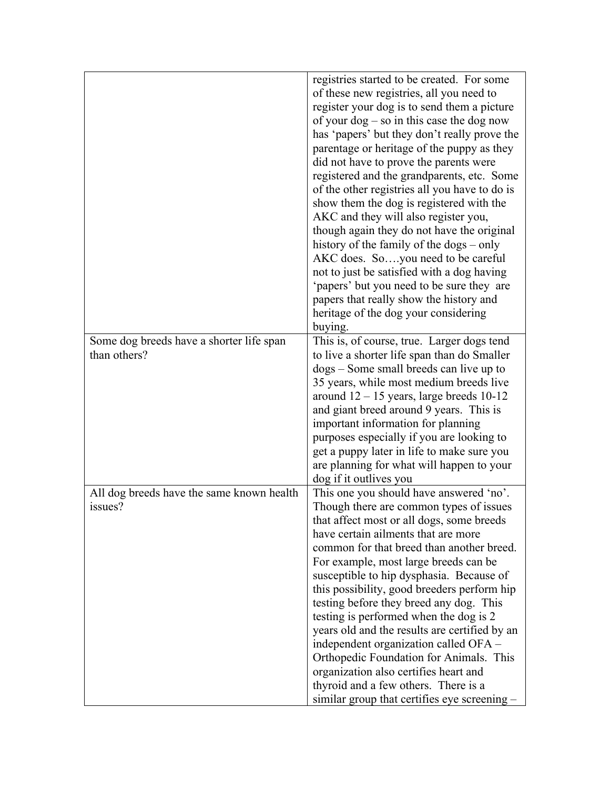|                                                          | registries started to be created. For some<br>of these new registries, all you need to<br>register your dog is to send them a picture<br>of your $\log$ – so in this case the dog now<br>has 'papers' but they don't really prove the<br>parentage or heritage of the puppy as they<br>did not have to prove the parents were<br>registered and the grandparents, etc. Some<br>of the other registries all you have to do is<br>show them the dog is registered with the<br>AKC and they will also register you,<br>though again they do not have the original<br>history of the family of the dogs – only<br>AKC does. Soyou need to be careful<br>not to just be satisfied with a dog having<br>'papers' but you need to be sure they are<br>papers that really show the history and<br>heritage of the dog your considering |
|----------------------------------------------------------|--------------------------------------------------------------------------------------------------------------------------------------------------------------------------------------------------------------------------------------------------------------------------------------------------------------------------------------------------------------------------------------------------------------------------------------------------------------------------------------------------------------------------------------------------------------------------------------------------------------------------------------------------------------------------------------------------------------------------------------------------------------------------------------------------------------------------------|
| Some dog breeds have a shorter life span<br>than others? | buying.<br>This is, of course, true. Larger dogs tend<br>to live a shorter life span than do Smaller<br>dogs – Some small breeds can live up to<br>35 years, while most medium breeds live<br>around $12 - 15$ years, large breeds $10 - 12$<br>and giant breed around 9 years. This is<br>important information for planning<br>purposes especially if you are looking to<br>get a puppy later in life to make sure you<br>are planning for what will happen to your<br>dog if it outlives you                                                                                                                                                                                                                                                                                                                                |
| All dog breeds have the same known health<br>issues?     | This one you should have answered 'no'.<br>Though there are common types of issues<br>that affect most or all dogs, some breeds<br>have certain ailments that are more<br>common for that breed than another breed.<br>For example, most large breeds can be<br>susceptible to hip dysphasia. Because of<br>this possibility, good breeders perform hip<br>testing before they breed any dog. This<br>testing is performed when the dog is 2<br>years old and the results are certified by an<br>independent organization called OFA -<br>Orthopedic Foundation for Animals. This<br>organization also certifies heart and<br>thyroid and a few others. There is a<br>similar group that certifies eye screening –                                                                                                             |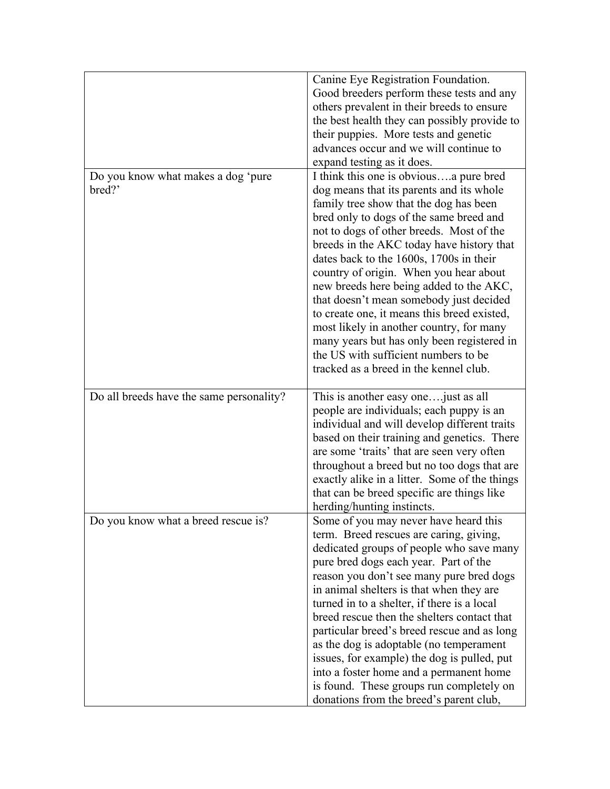|                                          | Canine Eye Registration Foundation.                                                 |
|------------------------------------------|-------------------------------------------------------------------------------------|
|                                          | Good breeders perform these tests and any                                           |
|                                          | others prevalent in their breeds to ensure                                          |
|                                          | the best health they can possibly provide to                                        |
|                                          | their puppies. More tests and genetic                                               |
|                                          | advances occur and we will continue to                                              |
|                                          | expand testing as it does.                                                          |
| Do you know what makes a dog 'pure       | I think this one is obviousa pure bred                                              |
| bred?'                                   | dog means that its parents and its whole                                            |
|                                          | family tree show that the dog has been                                              |
|                                          | bred only to dogs of the same breed and                                             |
|                                          | not to dogs of other breeds. Most of the                                            |
|                                          | breeds in the AKC today have history that                                           |
|                                          | dates back to the 1600s, 1700s in their                                             |
|                                          | country of origin. When you hear about                                              |
|                                          | new breeds here being added to the AKC,                                             |
|                                          | that doesn't mean somebody just decided                                             |
|                                          | to create one, it means this breed existed,                                         |
|                                          | most likely in another country, for many                                            |
|                                          | many years but has only been registered in                                          |
|                                          | the US with sufficient numbers to be                                                |
|                                          | tracked as a breed in the kennel club.                                              |
|                                          |                                                                                     |
|                                          |                                                                                     |
| Do all breeds have the same personality? | This is another easy one just as all                                                |
|                                          | people are individuals; each puppy is an                                            |
|                                          | individual and will develop different traits                                        |
|                                          | based on their training and genetics. There                                         |
|                                          | are some 'traits' that are seen very often                                          |
|                                          | throughout a breed but no too dogs that are                                         |
|                                          | exactly alike in a litter. Some of the things                                       |
|                                          | that can be breed specific are things like                                          |
|                                          | herding/hunting instincts.                                                          |
| Do you know what a breed rescue is?      | Some of you may never have heard this                                               |
|                                          | term. Breed rescues are caring, giving,                                             |
|                                          | dedicated groups of people who save many                                            |
|                                          | pure bred dogs each year. Part of the                                               |
|                                          | reason you don't see many pure bred dogs                                            |
|                                          | in animal shelters is that when they are                                            |
|                                          | turned in to a shelter, if there is a local                                         |
|                                          | breed rescue then the shelters contact that                                         |
|                                          | particular breed's breed rescue and as long                                         |
|                                          | as the dog is adoptable (no temperament                                             |
|                                          | issues, for example) the dog is pulled, put                                         |
|                                          | into a foster home and a permanent home                                             |
|                                          | is found. These groups run completely on<br>donations from the breed's parent club, |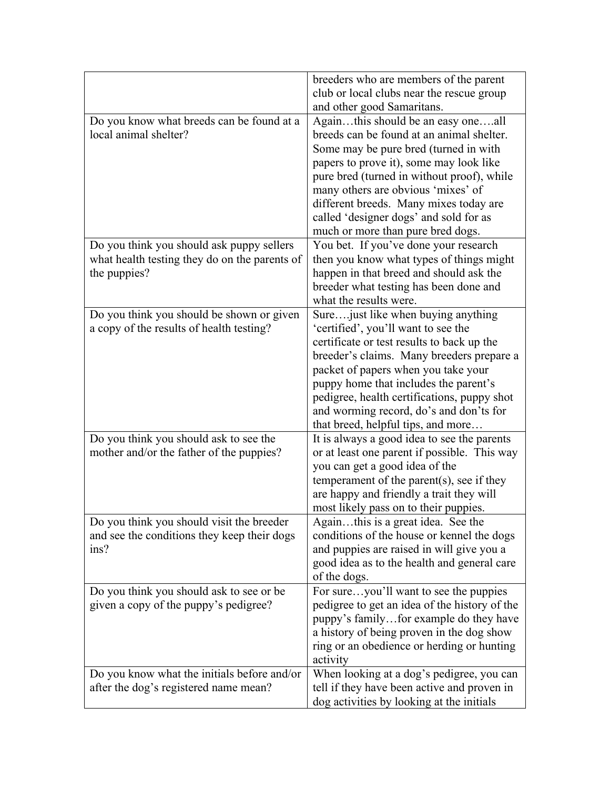|                                               | breeders who are members of the parent                      |
|-----------------------------------------------|-------------------------------------------------------------|
|                                               | club or local clubs near the rescue group                   |
|                                               | and other good Samaritans.                                  |
| Do you know what breeds can be found at a     | Againthis should be an easy oneall                          |
| local animal shelter?                         | breeds can be found at an animal shelter.                   |
|                                               | Some may be pure bred (turned in with                       |
|                                               | papers to prove it), some may look like                     |
|                                               | pure bred (turned in without proof), while                  |
|                                               | many others are obvious 'mixes' of                          |
|                                               | different breeds. Many mixes today are                      |
|                                               | called 'designer dogs' and sold for as                      |
|                                               | much or more than pure bred dogs.                           |
| Do you think you should ask puppy sellers     | You bet. If you've done your research                       |
| what health testing they do on the parents of | then you know what types of things might                    |
| the puppies?                                  | happen in that breed and should ask the                     |
|                                               | breeder what testing has been done and                      |
|                                               | what the results were.                                      |
| Do you think you should be shown or given     | Sure just like when buying anything                         |
| a copy of the results of health testing?      | 'certified', you'll want to see the                         |
|                                               | certificate or test results to back up the                  |
|                                               | breeder's claims. Many breeders prepare a                   |
|                                               | packet of papers when you take your                         |
|                                               | puppy home that includes the parent's                       |
|                                               | pedigree, health certifications, puppy shot                 |
|                                               | and worming record, do's and don'ts for                     |
|                                               | that breed, helpful tips, and more                          |
| Do you think you should ask to see the        | It is always a good idea to see the parents                 |
| mother and/or the father of the puppies?      | or at least one parent if possible. This way                |
|                                               | you can get a good idea of the                              |
|                                               | temperament of the parent(s), see if they                   |
|                                               | are happy and friendly a trait they will                    |
|                                               | most likely pass on to their puppies.                       |
| Do you think you should visit the breeder     | Againthis is a great idea. See the                          |
| and see the conditions they keep their dogs   | conditions of the house or kennel the dogs                  |
| ins?                                          | and puppies are raised in will give you a                   |
|                                               | good idea as to the health and general care<br>of the dogs. |
| Do you think you should ask to see or be.     | For sureyou'll want to see the puppies                      |
| given a copy of the puppy's pedigree?         | pedigree to get an idea of the history of the               |
|                                               | puppy's familyfor example do they have                      |
|                                               | a history of being proven in the dog show                   |
|                                               | ring or an obedience or herding or hunting                  |
|                                               | activity                                                    |
| Do you know what the initials before and/or   | When looking at a dog's pedigree, you can                   |
| after the dog's registered name mean?         | tell if they have been active and proven in                 |
|                                               | dog activities by looking at the initials                   |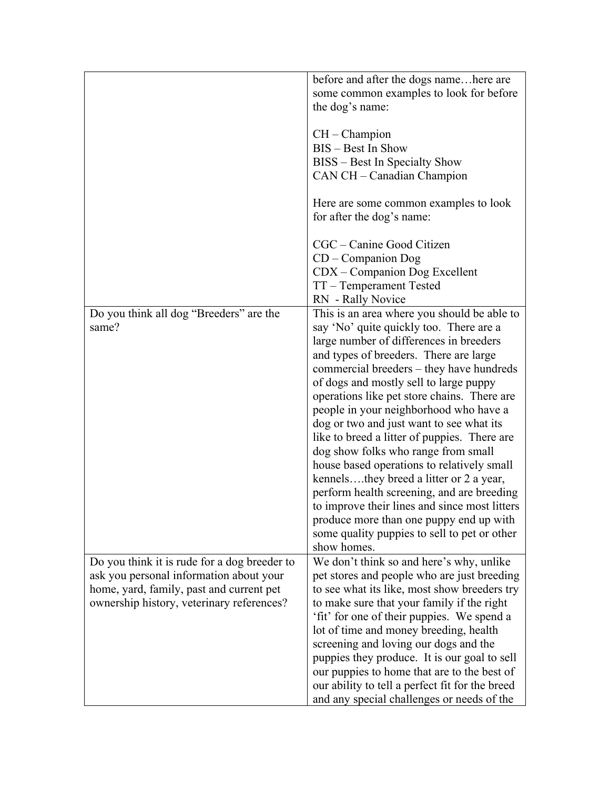| before and after the dogs namehere are                                                   |  |
|------------------------------------------------------------------------------------------|--|
| some common examples to look for before                                                  |  |
| the dog's name:                                                                          |  |
|                                                                                          |  |
| $CH - Champion$                                                                          |  |
|                                                                                          |  |
| BIS - Best In Show                                                                       |  |
| BISS – Best In Specialty Show                                                            |  |
| CAN CH - Canadian Champion                                                               |  |
|                                                                                          |  |
| Here are some common examples to look                                                    |  |
| for after the dog's name:                                                                |  |
| CGC – Canine Good Citizen                                                                |  |
| $CD$ – Companion Dog                                                                     |  |
|                                                                                          |  |
| CDX – Companion Dog Excellent                                                            |  |
| TT - Temperament Tested                                                                  |  |
| RN - Rally Novice                                                                        |  |
| Do you think all dog "Breeders" are the<br>This is an area where you should be able to   |  |
| same?<br>say 'No' quite quickly too. There are a                                         |  |
| large number of differences in breeders                                                  |  |
| and types of breeders. There are large                                                   |  |
| commercial breeders – they have hundreds                                                 |  |
| of dogs and mostly sell to large puppy                                                   |  |
|                                                                                          |  |
| operations like pet store chains. There are                                              |  |
| people in your neighborhood who have a                                                   |  |
| dog or two and just want to see what its                                                 |  |
| like to breed a litter of puppies. There are                                             |  |
| dog show folks who range from small                                                      |  |
| house based operations to relatively small                                               |  |
| kennelsthey breed a litter or 2 a year,                                                  |  |
|                                                                                          |  |
| perform health screening, and are breeding                                               |  |
| to improve their lines and since most litters                                            |  |
| produce more than one puppy end up with                                                  |  |
| some quality puppies to sell to pet or other                                             |  |
| show homes.                                                                              |  |
| Do you think it is rude for a dog breeder to<br>We don't think so and here's why, unlike |  |
| ask you personal information about your<br>pet stores and people who are just breeding   |  |
| home, yard, family, past and current pet<br>to see what its like, most show breeders try |  |
|                                                                                          |  |
| ownership history, veterinary references?<br>to make sure that your family if the right  |  |
| 'fit' for one of their puppies. We spend a                                               |  |
| lot of time and money breeding, health                                                   |  |
| screening and loving our dogs and the                                                    |  |
| puppies they produce. It is our goal to sell                                             |  |
|                                                                                          |  |
| our puppies to home that are to the best of                                              |  |
| our ability to tell a perfect fit for the breed                                          |  |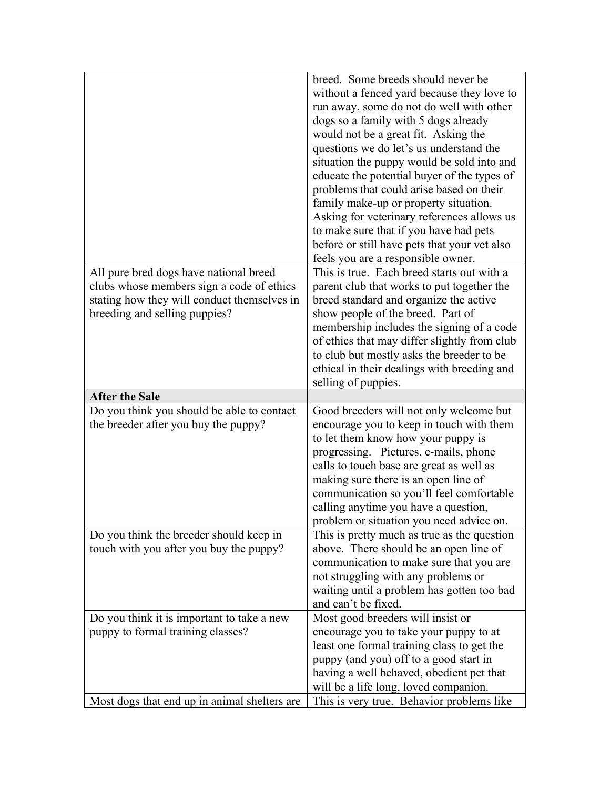|                                             | breed. Some breeds should never be           |
|---------------------------------------------|----------------------------------------------|
|                                             | without a fenced yard because they love to   |
|                                             | run away, some do not do well with other     |
|                                             | dogs so a family with 5 dogs already         |
|                                             | would not be a great fit. Asking the         |
|                                             | questions we do let's us understand the      |
|                                             | situation the puppy would be sold into and   |
|                                             | educate the potential buyer of the types of  |
|                                             | problems that could arise based on their     |
|                                             |                                              |
|                                             | family make-up or property situation.        |
|                                             | Asking for veterinary references allows us   |
|                                             | to make sure that if you have had pets       |
|                                             | before or still have pets that your vet also |
|                                             | feels you are a responsible owner.           |
| All pure bred dogs have national breed      | This is true. Each breed starts out with a   |
| clubs whose members sign a code of ethics   | parent club that works to put together the   |
| stating how they will conduct themselves in | breed standard and organize the active       |
| breeding and selling puppies?               | show people of the breed. Part of            |
|                                             | membership includes the signing of a code    |
|                                             | of ethics that may differ slightly from club |
|                                             | to club but mostly asks the breeder to be    |
|                                             | ethical in their dealings with breeding and  |
|                                             |                                              |
|                                             | selling of puppies.                          |
| <b>After the Sale</b>                       |                                              |
| Do you think you should be able to contact  | Good breeders will not only welcome but      |
| the breeder after you buy the puppy?        | encourage you to keep in touch with them     |
|                                             | to let them know how your puppy is           |
|                                             | progressing. Pictures, e-mails, phone        |
|                                             | calls to touch base are great as well as     |
|                                             | making sure there is an open line of         |
|                                             | communication so you'll feel comfortable     |
|                                             | calling anytime you have a question,         |
|                                             | problem or situation you need advice on.     |
| Do you think the breeder should keep in     | This is pretty much as true as the question  |
| touch with you after you buy the puppy?     | above. There should be an open line of       |
|                                             | communication to make sure that you are      |
|                                             | not struggling with any problems or          |
|                                             | waiting until a problem has gotten too bad   |
|                                             | and can't be fixed.                          |
| Do you think it is important to take a new  | Most good breeders will insist or            |
| puppy to formal training classes?           | encourage you to take your puppy to at       |
|                                             | least one formal training class to get the   |
|                                             | puppy (and you) off to a good start in       |
|                                             | having a well behaved, obedient pet that     |
|                                             | will be a life long, loved companion.        |